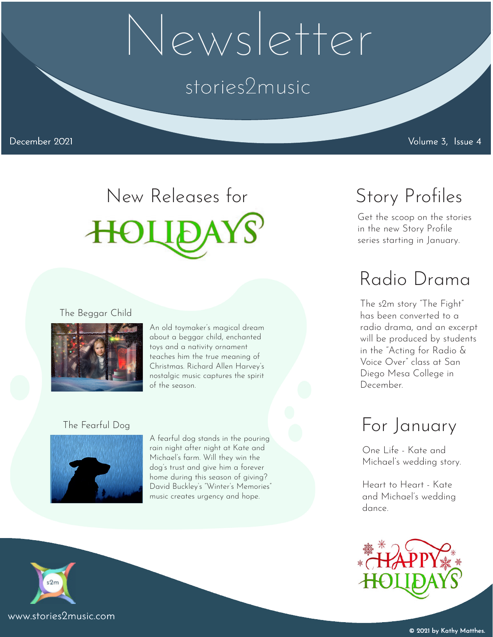## Newsletter

## stories2music

December 2021 Volume 3, Issue 4

# New Releases for

## Radio Drama

Get the scoop on the stories in the new Story Profile series starting in January.

Story Profiles

The s2m story "The Fight" has been converted to a radio drama, and an excerpt will be produced by students in the "Acting for Radio & Voice Over" class at San Diego Mesa College in December.

## For January

One Life - Kate and Michael's wedding story.

Heart to Heart - Kate and Michael's wedding dance.



The Beggar Child



An old toymaker's magical dream about a beggar child, enchanted toys and a nativity ornament teaches him the true meaning of Christmas. Richard Allen Harvey's nostalgic music captures the spirit of the season.

#### The Fearful Dog



A fearful dog stands in the pouring rain night after night at Kate and Michael's farm. Will they win the dog's trust and give him a forever home during this season of giving? David Buckley's "Winter's Memories" music creates urgency and hope.



 $s2m$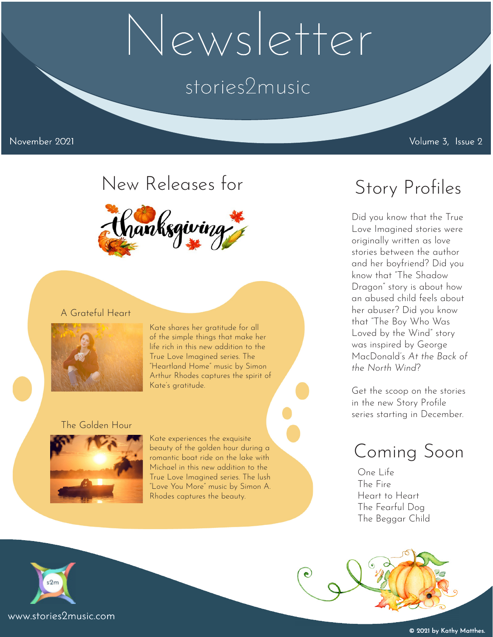## Newsletter

## stories2music

## New Releases for



#### A Grateful Heart



Kate shares her gratitude for all of the simple things that make her life rich in this new addition to the True Love Imagined series. The "Heartland Home" music by Simon Arthur Rhodes captures the spirit of Kate's gratitude.

#### The Golden Hour



Kate experiences the exquisite beauty of the golden hour during a romantic boat ride on the lake with Michael in this new addition to the True Love Imagined series. The lush "Love You More" music by Simon A. Rhodes captures the beauty.

## Story Profiles

Did you know that the True Love Imagined stories were originally written as love stories between the author and her boyfriend? Did you know that "The Shadow Dragon" story is about how an abused child feels about her abuser? Did you know that "The Boy Who Was Loved by the Wind" story was inspired by George MacDonald's *At the Back of the North Wind*?

Get the scoop on the stories in the new Story Profile series starting in December.

### Coming Soon

One Life The Fire Heart to Heart The Fearful Dog The Beggar Child

 $\bullet$ 

 $s2m$